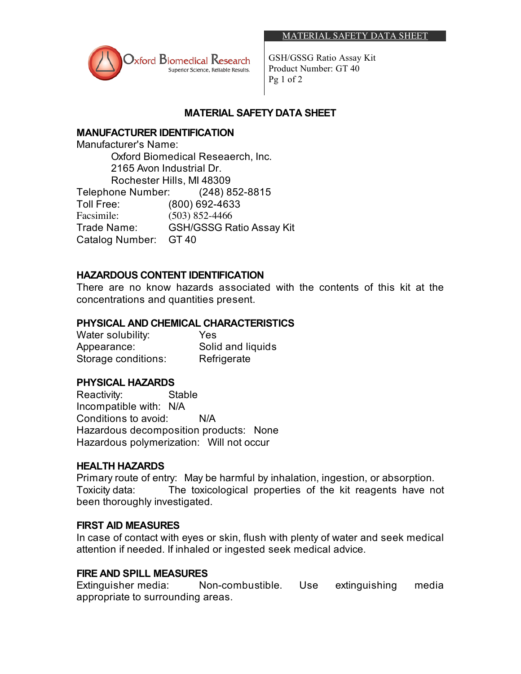

GSH/GSSG Ratio Assay Kit Product Number: GT 40 Pg 1 of 2

## **MATERIAL SAFETY DATA SHEET**

# **MANUFACTURER IDENTIFICATION**

Manufacturer's Name: Oxford Biomedical Reseaerch, Inc. 2165 Avon Industrial Dr. Rochester Hills, MI 48309 Telephone Number: (248) 852-8815 Toll Free: (800) 692-4633 Facsimile: (503) 852-4466 Trade Name: GSH/GSSG Ratio Assay Kit Catalog Number: GT 40

## **HAZARDOUS CONTENT IDENTIFICATION**

There are no know hazards associated with the contents of this kit at the concentrations and quantities present.

## **PHYSICAL AND CHEMICAL CHARACTERISTICS**

Water solubility: Yes Appearance: Solid and liquids Storage conditions: Refrigerate

#### **PHYSICAL HAZARDS**

Reactivity: Stable Incompatible with: N/A Conditions to avoid: N/A Hazardous decomposition products: None Hazardous polymerization: Will not occur

#### **HEALTH HAZARDS**

Primary route of entry: May be harmful by inhalation, ingestion, or absorption. Toxicity data: The toxicological properties of the kit reagents have not been thoroughly investigated.

#### **FIRST AID MEASURES**

In case of contact with eyes or skin, flush with plenty of water and seek medical attention if needed. If inhaled or ingested seek medical advice.

#### **FIRE AND SPILL MEASURES**

Extinguisher media: Non-combustible. Use extinguishing media appropriate to surrounding areas.